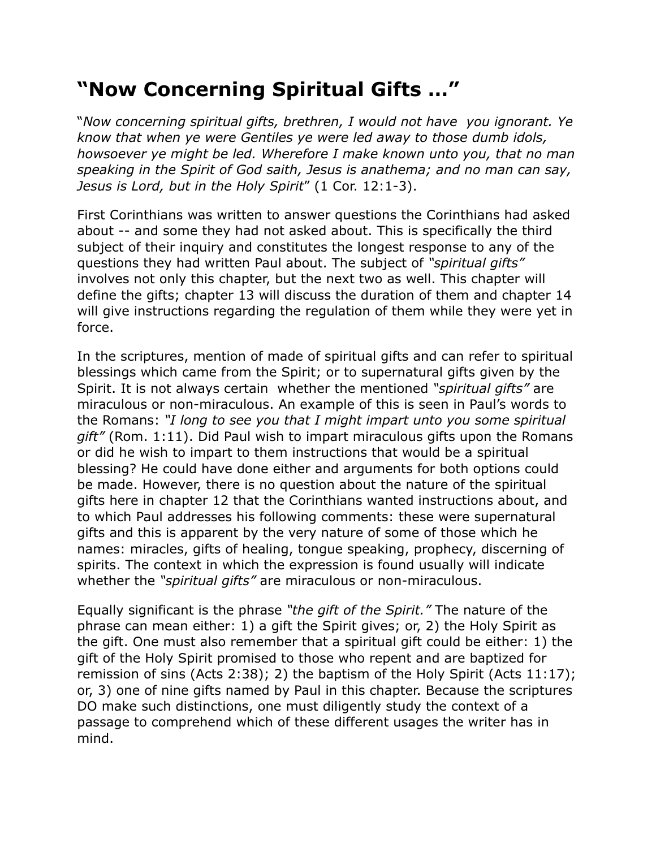## **"Now Concerning Spiritual Gifts …"**

"*Now concerning spiritual gifts, brethren, I would not have you ignorant. Ye know that when ye were Gentiles ye were led away to those dumb idols, howsoever ye might be led. Wherefore I make known unto you, that no man speaking in the Spirit of God saith, Jesus is anathema; and no man can say, Jesus is Lord, but in the Holy Spirit*" (1 Cor. 12:1-3).

First Corinthians was written to answer questions the Corinthians had asked about -- and some they had not asked about. This is specifically the third subject of their inquiry and constitutes the longest response to any of the questions they had written Paul about. The subject of *"spiritual gifts"* involves not only this chapter, but the next two as well. This chapter will define the gifts; chapter 13 will discuss the duration of them and chapter 14 will give instructions regarding the regulation of them while they were yet in force.

In the scriptures, mention of made of spiritual gifts and can refer to spiritual blessings which came from the Spirit; or to supernatural gifts given by the Spirit. It is not always certain whether the mentioned *"spiritual gifts"* are miraculous or non-miraculous. An example of this is seen in Paul's words to the Romans: *"I long to see you that I might impart unto you some spiritual gift"* (Rom. 1:11). Did Paul wish to impart miraculous gifts upon the Romans or did he wish to impart to them instructions that would be a spiritual blessing? He could have done either and arguments for both options could be made. However, there is no question about the nature of the spiritual gifts here in chapter 12 that the Corinthians wanted instructions about, and to which Paul addresses his following comments: these were supernatural gifts and this is apparent by the very nature of some of those which he names: miracles, gifts of healing, tongue speaking, prophecy, discerning of spirits. The context in which the expression is found usually will indicate whether the *"spiritual gifts"* are miraculous or non-miraculous.

Equally significant is the phrase *"the gift of the Spirit."* The nature of the phrase can mean either: 1) a gift the Spirit gives; or, 2) the Holy Spirit as the gift. One must also remember that a spiritual gift could be either: 1) the gift of the Holy Spirit promised to those who repent and are baptized for remission of sins (Acts 2:38); 2) the baptism of the Holy Spirit (Acts 11:17); or, 3) one of nine gifts named by Paul in this chapter. Because the scriptures DO make such distinctions, one must diligently study the context of a passage to comprehend which of these different usages the writer has in mind.